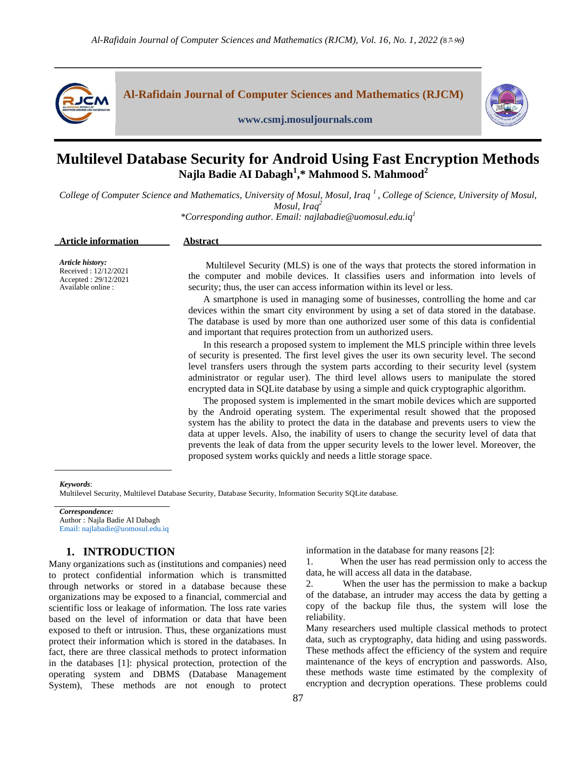

# **Multilevel Database Security for Android Using Fast Encryption Methods Najla Badie AI Dabagh<sup>1</sup> ,\* Mahmood S. Mahmood<sup>2</sup>**

College of Computer Science and Mathematics, University of Mosul, Mosul, Iraq<sup>1</sup>, College of Science, University of Mosul, *Mosul, Iraq<sup>2</sup> \*Corresponding author. Email: najlabadie@uomosul.edu.iq<sup>1</sup>*

| Article history:                                                                                                                                                                                                                                               | <b>Article information</b> | <b>Abstract</b>                                                                                                                                                                                                                                                                                                                                                                                                                                                                                                                                                                                                                                                                                                                                                                                                                                                                                                                                                                                                                                                                                                                                                                                                                                                                                                                                                                                      |
|----------------------------------------------------------------------------------------------------------------------------------------------------------------------------------------------------------------------------------------------------------------|----------------------------|------------------------------------------------------------------------------------------------------------------------------------------------------------------------------------------------------------------------------------------------------------------------------------------------------------------------------------------------------------------------------------------------------------------------------------------------------------------------------------------------------------------------------------------------------------------------------------------------------------------------------------------------------------------------------------------------------------------------------------------------------------------------------------------------------------------------------------------------------------------------------------------------------------------------------------------------------------------------------------------------------------------------------------------------------------------------------------------------------------------------------------------------------------------------------------------------------------------------------------------------------------------------------------------------------------------------------------------------------------------------------------------------------|
| Accepted: 29/12/2021<br>security; thus, the user can access information within its level or less.<br>Available online :<br>and important that requires protection from un authorized users.<br>proposed system works quickly and needs a little storage space. | Received: 12/12/2021       | Multilevel Security (MLS) is one of the ways that protects the stored information in<br>the computer and mobile devices. It classifies users and information into levels of<br>A smartphone is used in managing some of businesses, controlling the home and car<br>devices within the smart city environment by using a set of data stored in the database.<br>The database is used by more than one authorized user some of this data is confidential<br>In this research a proposed system to implement the MLS principle within three levels<br>of security is presented. The first level gives the user its own security level. The second<br>level transfers users through the system parts according to their security level (system<br>administrator or regular user). The third level allows users to manipulate the stored<br>encrypted data in SQLite database by using a simple and quick cryptographic algorithm.<br>The proposed system is implemented in the smart mobile devices which are supported<br>by the Android operating system. The experimental result showed that the proposed<br>system has the ability to protect the data in the database and prevents users to view the<br>data at upper levels. Also, the inability of users to change the security level of data that<br>prevents the leak of data from the upper security levels to the lower level. Moreover, the |

#### *Keywords*:

Multilevel Security, Multilevel Database Security, Database Security, Information Security SQLite database.

*Correspondence:* Author : Najla Badie AI Dabagh Email: najlabadie@uomosul.edu.iq

# **1. INTRODUCTION**

Many organizations such as (institutions and companies) need to protect confidential information which is transmitted through networks or stored in a database because these organizations may be exposed to a financial, commercial and scientific loss or leakage of information. The loss rate varies based on the level of information or data that have been exposed to theft or intrusion. Thus, these organizations must protect their information which is stored in the databases. In fact, there are three classical methods to protect information in the databases [1]: physical protection, protection of the operating system and DBMS (Database Management System), These methods are not enough to protect information in the database for many reasons [2]:

1. When the user has read permission only to access the data, he will access all data in the database.

2. When the user has the permission to make a backup of the database, an intruder may access the data by getting a copy of the backup file thus, the system will lose the reliability.

Many researchers used multiple classical methods to protect data, such as cryptography, data hiding and using passwords. These methods affect the efficiency of the system and require maintenance of the keys of encryption and passwords. Also, these methods waste time estimated by the complexity of encryption and decryption operations. These problems could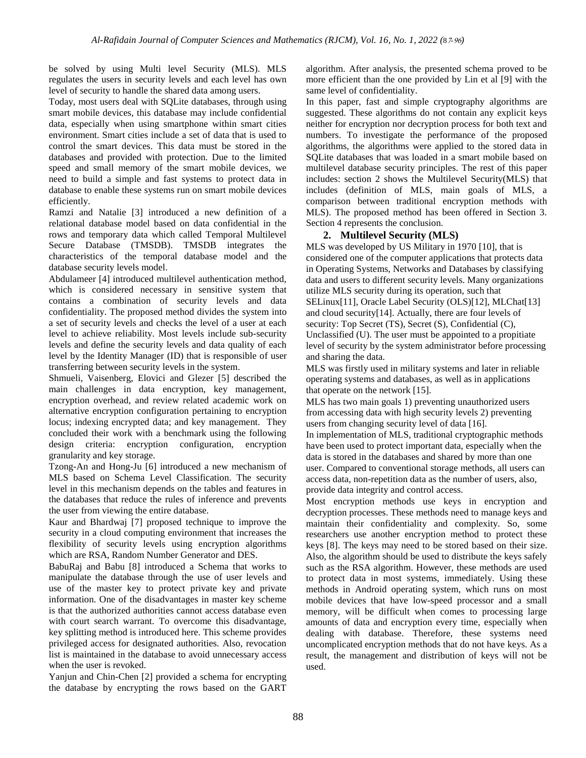be solved by using Multi level Security (MLS). MLS regulates the users in security levels and each level has own level of security to handle the shared data among users.

Today, most users deal with SQLite databases, through using smart mobile devices, this database may include confidential data, especially when using smartphone within smart cities environment. Smart cities include a set of data that is used to control the smart devices. This data must be stored in the databases and provided with protection. Due to the limited speed and small memory of the smart mobile devices, we need to build a simple and fast systems to protect data in database to enable these systems run on smart mobile devices efficiently.

Ramzi and Natalie [3] introduced a new definition of a relational database model based on data confidential in the rows and temporary data which called Temporal Multilevel Secure Database (TMSDB). TMSDB integrates the characteristics of the temporal database model and the database security levels model.

Abdulameer [4] introduced multilevel authentication method, which is considered necessary in sensitive system that contains a combination of security levels and data confidentiality. The proposed method divides the system into a set of security levels and checks the level of a user at each level to achieve reliability. Most levels include sub-security levels and define the security levels and data quality of each level by the Identity Manager (ID) that is responsible of user transferring between security levels in the system.

Shmueli, Vaisenberg, Elovici and Glezer [5] described the main challenges in data encryption, key management, encryption overhead, and review related academic work on alternative encryption configuration pertaining to encryption locus; indexing encrypted data; and key management. They concluded their work with a benchmark using the following design criteria: encryption configuration, encryption granularity and key storage.

Tzong-An and Hong-Ju [6] introduced a new mechanism of MLS based on Schema Level Classification. The security level in this mechanism depends on the tables and features in the databases that reduce the rules of inference and prevents the user from viewing the entire database.

Kaur and Bhardwaj [7] proposed technique to improve the security in a cloud computing environment that increases the flexibility of security levels using encryption algorithms which are RSA, Random Number Generator and DES.

BabuRaj and Babu [8] introduced a Schema that works to manipulate the database through the use of user levels and use of the master key to protect private key and private information. One of the disadvantages in master key scheme is that the authorized authorities cannot access database even with court search warrant. To overcome this disadvantage, key splitting method is introduced here. This scheme provides privileged access for designated authorities. Also, revocation list is maintained in the database to avoid unnecessary access when the user is revoked.

Yanjun and Chin-Chen [2] provided a schema for encrypting the database by encrypting the rows based on the GART algorithm. After analysis, the presented schema proved to be more efficient than the one provided by Lin et al [9] with the same level of confidentiality.

In this paper, fast and simple cryptography algorithms are suggested. These algorithms do not contain any explicit keys neither for encryption nor decryption process for both text and numbers. To investigate the performance of the proposed algorithms, the algorithms were applied to the stored data in SQLite databases that was loaded in a smart mobile based on multilevel database security principles. The rest of this paper includes: section 2 shows the Multilevel Security(MLS) that includes (definition of MLS, main goals of MLS, a comparison between traditional encryption methods with MLS). The proposed method has been offered in Section 3. Section 4 represents the conclusion.

### **2. Multilevel Security (MLS)**

MLS was developed by US Military in 1970 [10], that is considered one of the computer applications that protects data in Operating Systems, Networks and Databases by classifying data and users to different security levels. Many organizations utilize MLS security during its operation, such that SELinux[11], Oracle Label Security (OLS)[12], MLChat[13] and cloud security[14]. Actually, there are four levels of security: Top Secret (TS), Secret (S), Confidential (C), Unclassified (U). The user must be appointed to a propitiate level of security by the system administrator before processing and sharing the data.

MLS was firstly used in military systems and later in reliable operating systems and databases, as well as in applications that operate on the network [15].

MLS has two main goals 1) preventing unauthorized users from accessing data with high security levels 2) preventing users from changing security level of data [16].

In implementation of MLS, traditional cryptographic methods have been used to protect important data, especially when the data is stored in the databases and shared by more than one user. Compared to conventional storage methods, all users can access data, non-repetition data as the number of users, also, provide data integrity and control access.

Most encryption methods use keys in encryption and decryption processes. These methods need to manage keys and maintain their confidentiality and complexity. So, some researchers use another encryption method to protect these keys [8]. The keys may need to be stored based on their size. Also, the algorithm should be used to distribute the keys safely such as the RSA algorithm. However, these methods are used to protect data in most systems, immediately. Using these methods in Android operating system, which runs on most mobile devices that have low-speed processor and a small memory, will be difficult when comes to processing large amounts of data and encryption every time, especially when dealing with database. Therefore, these systems need uncomplicated encryption methods that do not have keys. As a result, the management and distribution of keys will not be used.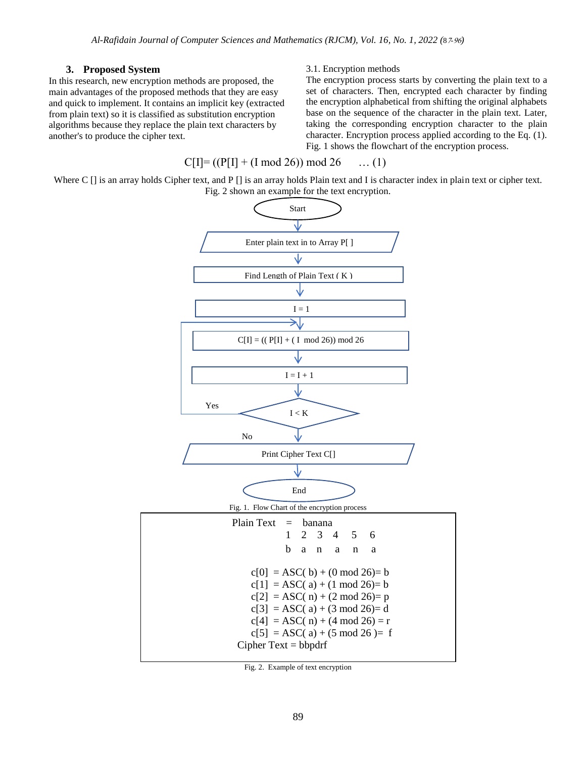## **3. Proposed System**

In this research, new encryption methods are proposed, the main advantages of the proposed methods that they are easy and quick to implement. It contains an implicit key (extracted from plain text) so it is classified as substitution encryption algorithms because they replace the plain text characters by another's to produce the cipher text.

### 3.1. Encryption methods

The encryption process starts by converting the plain text to a set of characters. Then, encrypted each character by finding the encryption alphabetical from shifting the original alphabets base on the sequence of the character in the plain text. Later, taking the corresponding encryption character to the plain character. Encryption process applied according to the Eq. (1). Fig. 1 shows the flowchart of the encryption process.

# $C[I] = ((P[I] + (I \mod 26)) \mod 26 \quad \dots (1))$

Where C [] is an array holds Cipher text, and P [] is an array holds Plain text and I is character index in plain text or cipher text. Fig. 2 shown an example for the text encryption.



Fig. 2. Example of text encryption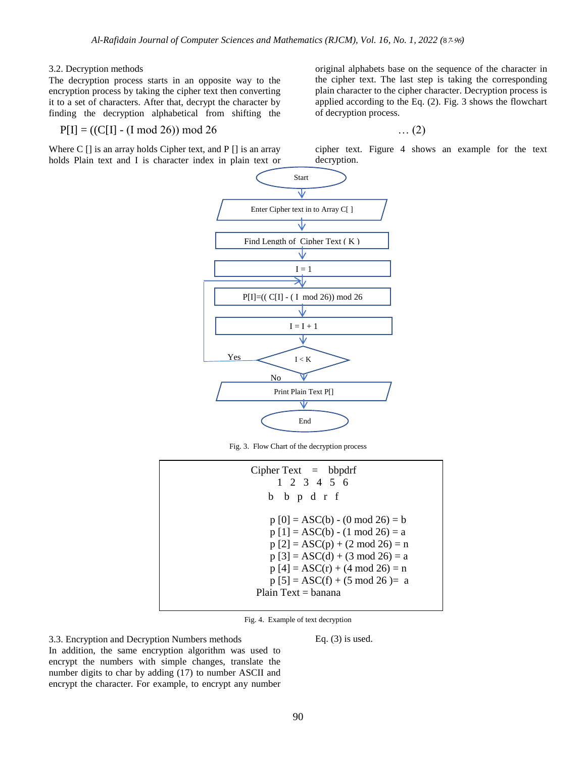### 3.2. Decryption methods

The decryption process starts in an opposite way to the encryption process by taking the cipher text then converting it to a set of characters. After that, decrypt the character by finding the decryption alphabetical from shifting the

 $P[I] = ((C[I] - (I \mod 26)) \mod 26 \quad ... (2)$ 

Where C [] is an array holds Cipher text, and P [] is an array holds Plain text and I is character index in plain text or original alphabets base on the sequence of the character in the cipher text. The last step is taking the corresponding plain character to the cipher character. Decryption process is applied according to the Eq. (2). Fig. 3 shows the flowchart of decryption process.

cipher text. Figure 4 shows an example for the text decryption.



Fig. 3. Flow Chart of the decryption process

| Cipher Text $=$ bbpdrf             |
|------------------------------------|
|                                    |
| $1 \t2 \t3 \t4 \t5 \t6$            |
| b b p d r f                        |
| $p[0] = ASC(b) - (0 \mod 26) = b$  |
| $p[1] = ASC(b) - (1 \mod 26) = a$  |
| $p [2] = ASC(p) + (2 \mod 26) = n$ |
| $p [3] = ASC(d) + (3 mod 26) = a$  |
| $p[4] = ASC(r) + (4 \mod 26) = n$  |
| $p [5] = ASC(f) + (5 mod 26) = a$  |
| Plain $Text = banana$              |
|                                    |

Fig. 4. Example of text decryption

3.3. Encryption and Decryption Numbers methods

Eq.  $(3)$  is used.

In addition, the same encryption algorithm was used to encrypt the numbers with simple changes, translate the number digits to char by adding (17) to number ASCII and encrypt the character. For example, to encrypt any number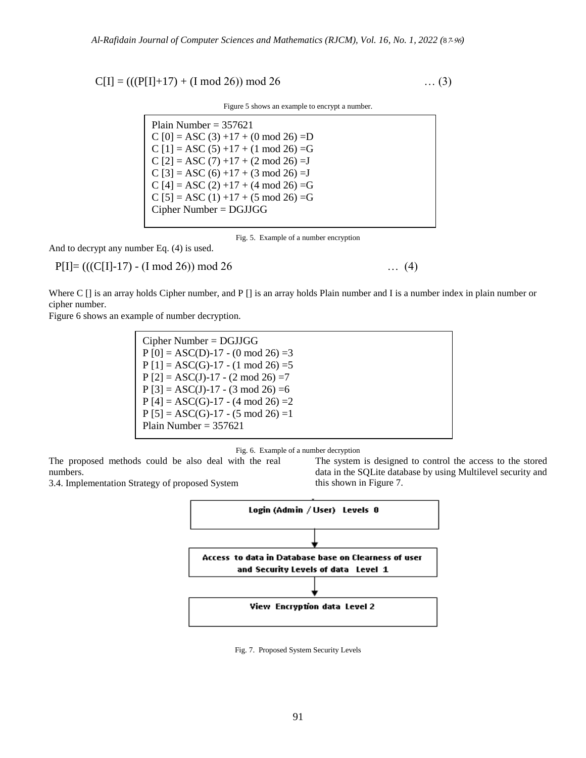$C[I] = (((P[I]+17) + (I \mod 26)) \mod 26 \dots (3)$ 

Figure 5 shows an example to encrypt a number.

Plain Number  $= 357621$  $C [0] = ASC (3) +17 + (0 \text{ mod } 26) =D$ C  $[1] = ASC (5) + 17 + (1 \mod 26) = G$  $C [2] = ASC (7) +17 + (2 \mod 26) = J$ C  $[3] = ASC (6) +17 + (3 \text{ mod } 26) = J$ C  $[4] =$  ASC  $(2) +17 + (4 \mod 26) = G$  $C [5] = ASC (1) +17 + (5 \mod 26) = G$ Cipher Number = DGJJGG

Fig. 5. Example of a number encryption

And to decrypt any number Eq. (4) is used.

 $P[I] = (((C[I]-17) - (I \mod 26)) \mod 26 \quad \dots \quad (4)$ 

Where C [] is an array holds Cipher number, and P [] is an array holds Plain number and I is a number index in plain number or cipher number.

Figure 6 shows an example of number decryption.

Cipher Number = DGJJGG  $P [0] = ASC(D)-17 - (0 mod 26) = 3$  $P [1] = ASC(G)-17 - (1 mod 26) = 5$  $P [2] = ASC(J) - 17 - (2 \text{ mod } 26) = 7$  $P [3] = ASC(J)-17 - (3 \text{ mod } 26) = 6$  $P [4] = ASC(G)-17 - (4 mod 26) = 2$  $P [5] = ASC(G)-17 - (5 \mod 26) = 1$ Plain Number =  $357621$ 

Fig. 6. Example of a number decryption

The proposed methods could be also deal with the real numbers.

3.4. Implementation Strategy of proposed System

The system is designed to control the access to the stored data in the SQLite database by using Multilevel security and this shown in Figure 7.



Fig. 7. Proposed System Security Levels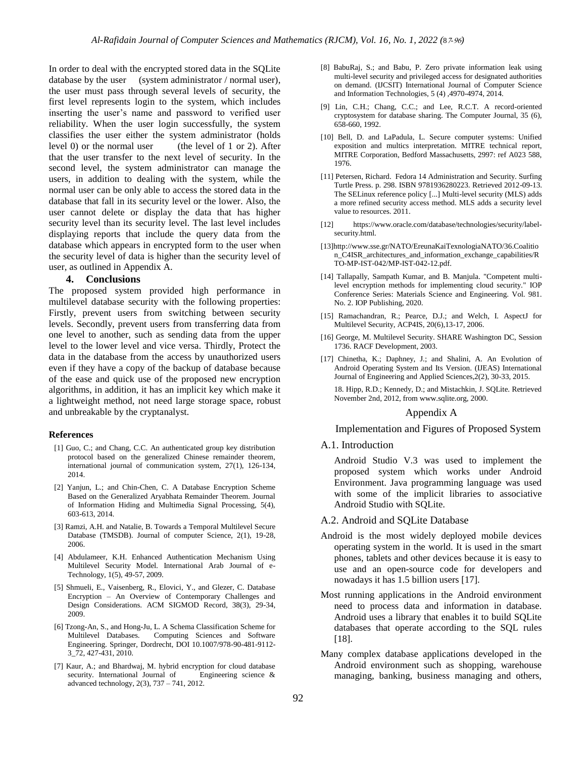In order to deal with the encrypted stored data in the SQLite database by the user (system administrator / normal user), the user must pass through several levels of security, the first level represents login to the system, which includes inserting the user's name and password to verified user reliability. When the user login successfully, the system classifies the user either the system administrator (holds level 0) or the normal user (the level of 1 or 2). After that the user transfer to the next level of security. In the second level, the system administrator can manage the users, in addition to dealing with the system, while the normal user can be only able to access the stored data in the database that fall in its security level or the lower. Also, the user cannot delete or display the data that has higher security level than its security level. The last level includes displaying reports that include the query data from the database which appears in encrypted form to the user when the security level of data is higher than the security level of user, as outlined in Appendix A.

#### **4. Conclusions**

The proposed system provided high performance in multilevel database security with the following properties: Firstly, prevent users from switching between security levels. Secondly, prevent users from transferring data from one level to another, such as sending data from the upper level to the lower level and vice versa. Thirdly, Protect the data in the database from the access by unauthorized users even if they have a copy of the backup of database because of the ease and quick use of the proposed new encryption algorithms, in addition, it has an implicit key which make it a lightweight method, not need large storage space, robust and unbreakable by the cryptanalyst.

#### **References**

- [1] Guo, C.; and Chang, C.C. An authenticated group key distribution protocol based on the generalized Chinese remainder theorem, international journal of communication system, 27(1), 126-134, 2014.
- [2] Yanjun, L.; and Chin-Chen, C. A Database Encryption Scheme Based on the Generalized Aryabhata Remainder Theorem. Journal of Information Hiding and Multimedia Signal Processing, 5(4), 603-613, 2014.
- [3] Ramzi, A.H. and Natalie, B. Towards a Temporal Multilevel Secure Database (TMSDB). Journal of computer Science, 2(1), 19-28, 2006.
- [4] Abdulameer, K.H. Enhanced Authentication Mechanism Using Multilevel Security Model. International Arab Journal of e-Technology, 1(5), 49-57, 2009.
- [5] Shmueli, E., Vaisenberg, R., Elovici, Y., and Glezer, C. Database Encryption – An Overview of Contemporary Challenges and Design Considerations. ACM SIGMOD Record, 38(3), 29-34, 2009.
- [6] Tzong-An, S., and Hong-Ju, L. A Schema Classification Scheme for Multilevel Databases. Computing Sciences and Software Engineering. Springer, Dordrecht, DOI 10.1007/978-90-481-9112- 3\_72, 427-431, 2010.
- [7] Kaur, A.; and Bhardwaj, M. hybrid encryption for cloud database security. International Journal of Engineering science & advanced technology, 2(3), 737 – 741, 2012.
- [8] BabuRaj, S.; and Babu, P. Zero private information leak using multi-level security and privileged access for designated authorities on demand. (IJCSIT) International Journal of Computer Science and Information Technologies, 5 (4) ,4970-4974, 2014.
- [9] Lin, C.H.; Chang, C.C.; and Lee, R.C.T. A record-oriented cryptosystem for database sharing. The Computer Journal, 35 (6), 658-660, 1992.
- [10] Bell, D. and LaPadula, L. Secure computer systems: Unified exposition and multics interpretation. MITRE technical report, MITRE Corporation, Bedford Massachusetts, 2997: ref A023 588, 1976.
- [11] Petersen, Richard. Fedora 14 Administration and Security. Surfing Turtle Press. p. 298. ISBN 9781936280223. Retrieved 2012-09-13. The SELinux reference policy [...] Multi-level security (MLS) adds a more refined security access method. MLS adds a security level value to resources. 2011.
- [12] https://www.oracle.com/database/technologies/security/labelsecurity.html.
- [13]http://www.sse.gr/NATO/EreunaKaiTexnologiaNATO/36.Coalitio n\_C4ISR\_architectures\_and\_information\_exchange\_capabilities/R TO-MP-IST-042/MP-IST-042-12.pdf.
- [14] Tallapally, Sampath Kumar, and B. Manjula. "Competent multilevel encryption methods for implementing cloud security." IOP Conference Series: Materials Science and Engineering. Vol. 981. No. 2. IOP Publishing, 2020.
- [15] Ramachandran, R.; Pearce, D.J.; and Welch, I. AspectJ for Multilevel Security, ACP4IS, 20(6),13-17, 2006.
- [16] George, M. Multilevel Security. SHARE Washington DC, Session 1736. RACF Development, 2003.
- [17] Chinetha, K.; Daphney, J.; and Shalini, A. An Evolution of Android Operating System and Its Version. (IJEAS) International Journal of Engineering and Applied Sciences,2(2), 30-33, 2015.

18. Hipp, R.D.; Kennedy, D.; and Mistachkin, J. SQLite. Retrieved November 2nd, 2012, from www.sqlite.org, 2000.

#### Appendix A

Implementation and Figures of Proposed System

#### A.1. Introduction

Android Studio V.3 was used to implement the proposed system which works under Android Environment. Java programming language was used with some of the implicit libraries to associative Android Studio with SQLite.

#### A.2. Android and SQLite Database

- Android is the most widely deployed mobile devices operating system in the world. It is used in the smart phones, tablets and other devices because it is easy to use and an open-source code for developers and nowadays it has 1.5 billion users [17].
- Most running applications in the Android environment need to process data and information in database. Android uses a library that enables it to build SQLite databases that operate according to the SQL rules [18].
- Many complex database applications developed in the Android environment such as shopping, warehouse managing, banking, business managing and others,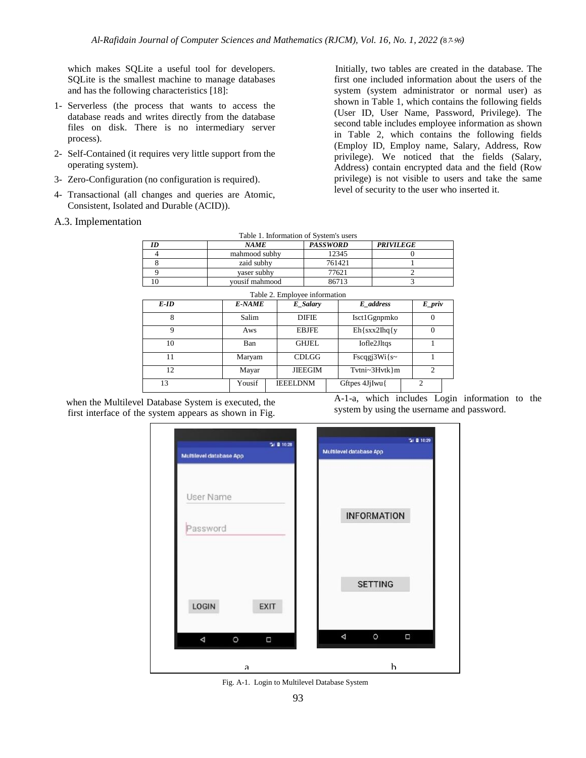which makes SQLite a useful tool for developers. SQLite is the smallest machine to manage databases and has the following characteristics [18]:

- 1- Serverless (the process that wants to access the database reads and writes directly from the database files on disk. There is no intermediary server process).
- 2- Self-Contained (it requires very little support from the operating system).
- 3- Zero-Configuration (no configuration is required).
- 4- Transactional (all changes and queries are Atomic, Consistent, Isolated and Durable (ACID)).
- A.3. Implementation

 Initially, two tables are created in the database. The first one included information about the users of the system (system administrator or normal user) as shown in Table 1, which contains the following fields (User ID, User Name, Password, Privilege). The second table includes employee information as shown in Table 2, which contains the following fields (Employ ID, Employ name, Salary, Address, Row privilege). We noticed that the fields (Salary, Address) contain encrypted data and the field (Row privilege) is not visible to users and take the same level of security to the user who inserted it.

| Table 1. Information of System's users |                |                 |                  |  |
|----------------------------------------|----------------|-----------------|------------------|--|
| ID                                     | <b>NAME</b>    | <b>PASSWORD</b> | <b>PRIVILEGE</b> |  |
|                                        | mahmood subhy  | 12345           |                  |  |
|                                        | zaid subhy     | 761421          |                  |  |
|                                        | vaser subhy    | 77621           |                  |  |
|                                        | vousif mahmood | 86713           |                  |  |

| Table 2. Employee information |               |                 |                  |                |
|-------------------------------|---------------|-----------------|------------------|----------------|
| E-ID                          | <b>E-NAME</b> | E Salary        | E address        | $E\_priv$      |
| 8                             | Salim         | <b>DIFIE</b>    | Isct1Ggnpmko     | $\theta$       |
| 9                             | Aws           | <b>EBJFE</b>    | $Eh$ {sxx2Ihq{y} |                |
| 10                            | Ban           | <b>GHJEL</b>    | Iofle2Jltqs      |                |
| 11                            | Maryam        | CDLGG           | $Fscqg3Wi\$ s~   |                |
| 12                            | Mayar         | <b>JIEEGIM</b>  | Tvtni~3Hvtk}m    | $\overline{c}$ |
| 13                            | Yousif        | <b>IEEELDNM</b> | Gftpes 4JjIwu{   | $\mathfrak{D}$ |

 when the Multilevel Database System is executed, the first interface of the system appears as shown in Fig.

A-1-a, which includes Login information to the system by using the username and password.



Fig. A-1. Login to Multilevel Database System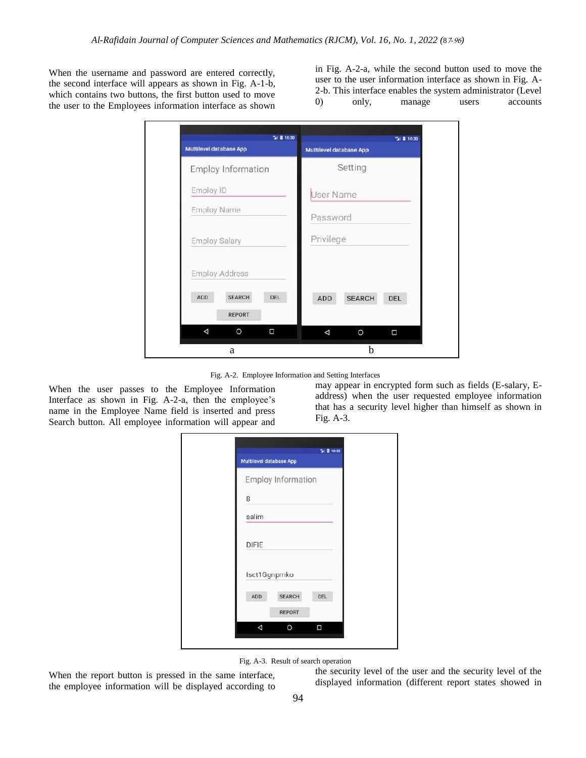When the username and password are entered correctly, the second interface will appears as shown in Fig. A-1-b, which contains two buttons, the first button used to move the user to the Employees information interface as shown

in Fig. A-2-a, while the second button used to move the user to the user information interface as shown in Fig. A-2-b. This interface enables the system administrator (Level 0) only, manage users accounts



Fig. A-2. Employee Information and Setting Interfaces

When the user passes to the Employee Information Interface as shown in Fig. A-2-a, then the employee's name in the Employee Name field is inserted and press Search button. All employee information will appear and may appear in encrypted form such as fields (E-salary, Eaddress) when the user requested employee information that has a security level higher than himself as shown in Fig. A-3.

|              | Multilevel database App |            |
|--------------|-------------------------|------------|
|              | Employ Information      |            |
| 8            |                         |            |
| salim        |                         |            |
| <b>DIFIE</b> |                         |            |
| Isct1Ggnpmko |                         |            |
| ADD          | <b>SEARCH</b>           | <b>DEL</b> |
|              | <b>REPORT</b>           |            |
| Δ            | О                       | Ω          |

Fig. A-3. Result of search operation

When the report button is pressed in the same interface, the employee information will be displayed according to

the security level of the user and the security level of the displayed information (different report states showed in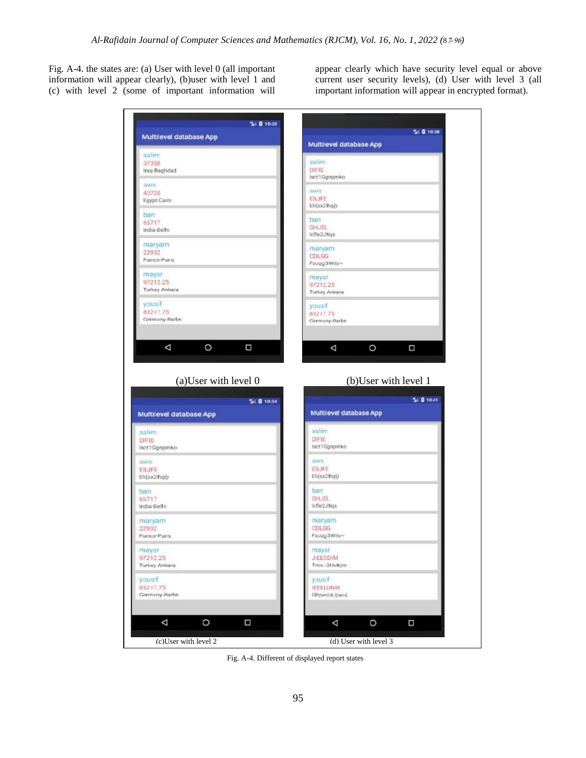Fig. A-4. the states are: (a) User with level 0 (all important information will appear clearly), (b)user with level 1 and (c) with level 2 (some of important information will

appear clearly which have security level equal or above current user security levels), (d) User with level 3 (all important information will appear in encrypted format).

| Multilevel database App                                                                             | 5 0 10:38<br>Multilevel database App |
|-----------------------------------------------------------------------------------------------------|--------------------------------------|
| salim                                                                                               |                                      |
| 37350                                                                                               | salim                                |
| Iraq-Baghdad                                                                                        | DIFIE<br>lsct1Ggnpmko                |
| aws                                                                                                 |                                      |
| 40720                                                                                               | <b>BWS</b>                           |
| Egypt-Cairo                                                                                         | <b>EBJFE</b><br>Eh{sx2lhq(y          |
| ban                                                                                                 |                                      |
| 65717                                                                                               | ban                                  |
| India-Delhi                                                                                         | <b>GHJEL</b><br>Icfle2Jltgs          |
| maryam                                                                                              |                                      |
| 22932                                                                                               | maryam                               |
| France-Paris                                                                                        | CDLGG<br>Fscug3Wils~                 |
|                                                                                                     |                                      |
| mayar<br>97212.25                                                                                   | mayar                                |
| Turkey-Ankara                                                                                       | 97212.25                             |
|                                                                                                     | Turkey-Ankara                        |
| yousif                                                                                              | yousif                               |
| 83217.75                                                                                            | 83217.75                             |
| Germany-Barlin                                                                                      | Germany-Barlin                       |
|                                                                                                     |                                      |
| O<br>Δ<br>Ω                                                                                         | O<br>Δ<br>Π                          |
| (a) User with level 0                                                                               | (b)User with level 1                 |
|                                                                                                     |                                      |
| Si 0 10:34                                                                                          | Si 0 10:41                           |
| Multilevel database App                                                                             | <b>Multilevel database App</b>       |
|                                                                                                     |                                      |
|                                                                                                     | salim<br>DIFIE                       |
|                                                                                                     | lsct1Ggnpmko                         |
|                                                                                                     |                                      |
|                                                                                                     | aws                                  |
|                                                                                                     | <b>EBJFE</b><br>Eh(sx2lhq(y          |
|                                                                                                     |                                      |
|                                                                                                     | ban                                  |
|                                                                                                     | <b>GHJEL</b><br>Icfle2Jitgs          |
| salim<br>DIFIE<br>Isct1Ggnpmko<br>aws<br><b>EBJFE</b><br>Eh{sx2lhq{y<br>ban<br>65717<br>India-Delhi |                                      |
|                                                                                                     | maryam                               |
|                                                                                                     | CDLGG                                |
| maryam<br>22932<br>France-Paris                                                                     | Fscuy3Wils~                          |
|                                                                                                     | mayar                                |
|                                                                                                     | <b>JIEEGDIM</b>                      |
|                                                                                                     | Tvtni-3Hvtk)m                        |
| mayar<br>97212.25<br>Turkey-Ankara<br>yousif                                                        | vousif                               |
| 83217.75                                                                                            | <b>IEEELDNM</b>                      |
|                                                                                                     | Gftpesild.jjwu(                      |
| Germany-Barlin                                                                                      |                                      |
| Δ<br>O<br>Ω                                                                                         | O<br>$\Box$<br>Δ                     |

Fig. A-4. Different of displayed report states